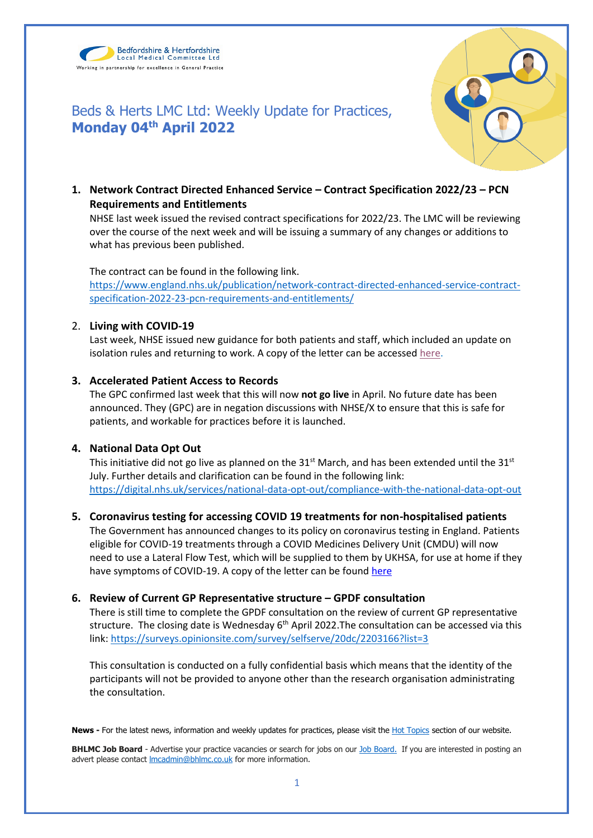Bedfordshire & Hertfordshire Local Medical Committee Ltd Working in partnership for excellence in General Practice

**Monday 04th April 2022**



**1. Network Contract Directed Enhanced Service – Contract Specification 2022/23 – PCN Requirements and Entitlements**

Beds & Herts LMC Ltd: Weekly Update for Practices,

NHSE last week issued the revised contract specifications for 2022/23. The LMC will be reviewing over the course of the next week and will be issuing a summary of any changes or additions to what has previous been published.

The contract can be found in the following link. [https://www.england.nhs.uk/publication/network-contract-directed-enhanced-service-contract](https://www.england.nhs.uk/publication/network-contract-directed-enhanced-service-contract-specification-2022-23-pcn-requirements-and-entitlements/)[specification-2022-23-pcn-requirements-and-entitlements/](https://www.england.nhs.uk/publication/network-contract-directed-enhanced-service-contract-specification-2022-23-pcn-requirements-and-entitlements/)

## 2. **Living with COVID-19**

Last week, NHSE issued new guidance for both patients and staff, which included an update on isolation rules and returning to work. A copy of the letter can be accesse[d here.](https://www.bedshertslmcs.org.uk/wp-content/uploads/2022/03/Living-with-COVID-19-testing-update-letter.pdf)

## **3. Accelerated Patient Access to Records**

The GPC confirmed last week that this will now **not go live** in April. No future date has been announced. They (GPC) are in negation discussions with NHSE/X to ensure that this is safe for patients, and workable for practices before it is launched.

### **4. National Data Opt Out**

This initiative did not go live as planned on the 31<sup>st</sup> March, and has been extended until the 31<sup>st</sup> July. Further details and clarification can be found in the following link: <https://digital.nhs.uk/services/national-data-opt-out/compliance-with-the-national-data-opt-out>

# **5. Coronavirus testing for accessing COVID 19 treatments for non-hospitalised patients**

The Government has announced changes to its policy on coronavirus testing in England. Patients eligible for COVID-19 treatments through a COVID Medicines Delivery Unit (CMDU) will now need to use a Lateral Flow Test, which will be supplied to them by UKHSA, for use at home if they have symptoms of COVID-19. A copy of the letter can be found here

# **6. Review of Current GP Representative structure – GPDF consultation**

There is still time to complete the GPDF consultation on the review of current GP representative structure. The closing date is Wednesday  $6<sup>th</sup>$  April 2022. The consultation can be accessed via this link:<https://surveys.opinionsite.com/survey/selfserve/20dc/2203166?list=3>

This consultation is conducted on a fully confidential basis which means that the identity of the participants will not be provided to anyone other than the research organisation administrating the consultation.

News - For the latest news, information and weekly updates for practices, please visit the **Hot Topics** section of our website.

**BHLMC Job Board** - Advertise your practice vacancies or search for jobs on our [Job Board.](https://www.bedshertslmcs.org.uk/jobs/) If you are interested in posting an advert please contact *Imcadmin@bhlmc.co.uk* for more information.